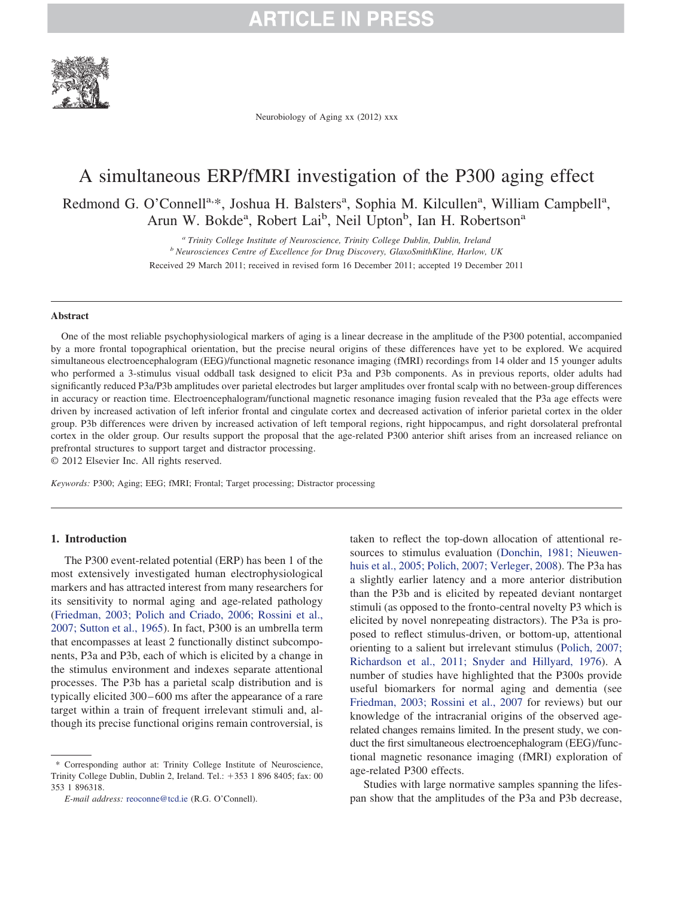

Neurobiology of Aging xx (2012) xxx

### A simultaneous ERP/fMRI investigation of the P300 aging effect

Redmond G. O'Connell<sup>a,\*</sup>, Joshua H. Balsters<sup>a</sup>, Sophia M. Kilcullen<sup>a</sup>, William Campbell<sup>a</sup>, Arun W. Bokde<sup>a</sup>, Robert Lai<sup>b</sup>, Neil Upton<sup>b</sup>, Ian H. Robertson<sup>a</sup>

> *<sup>a</sup> Trinity College Institute of Neuroscience, Trinity College Dublin, Dublin, Ireland <sup>b</sup> Neurosciences Centre of Excellence for Drug Discovery, GlaxoSmithKline, Harlow, UK* Received 29 March 2011; received in revised form 16 December 2011; accepted 19 December 2011

#### **Abstract**

One of the most reliable psychophysiological markers of aging is a linear decrease in the amplitude of the P300 potential, accompanied by a more frontal topographical orientation, but the precise neural origins of these differences have yet to be explored. We acquired simultaneous electroencephalogram (EEG)/functional magnetic resonance imaging (fMRI) recordings from 14 older and 15 younger adults who performed a 3-stimulus visual oddball task designed to elicit P3a and P3b components. As in previous reports, older adults had significantly reduced P3a/P3b amplitudes over parietal electrodes but larger amplitudes over frontal scalp with no between-group differences in accuracy or reaction time. Electroencephalogram/functional magnetic resonance imaging fusion revealed that the P3a age effects were driven by increased activation of left inferior frontal and cingulate cortex and decreased activation of inferior parietal cortex in the older group. P3b differences were driven by increased activation of left temporal regions, right hippocampus, and right dorsolateral prefrontal cortex in the older group. Our results support the proposal that the age-related P300 anterior shift arises from an increased reliance on prefrontal structures to support target and distractor processing.

© 2012 Elsevier Inc. All rights reserved.

*Keywords:* P300; Aging; EEG; fMRI; Frontal; Target processing; Distractor processing

#### **1. Introduction**

The P300 event-related potential (ERP) has been 1 of the most extensively investigated human electrophysiological markers and has attracted interest from many researchers for its sensitivity to normal aging and age-related pathology (Friedman, 2003; Polich and Criado, 2006; Rossini et al., 2007; Sutton et al., 1965). In fact, P300 is an umbrella term that encompasses at least 2 functionally distinct subcomponents, P3a and P3b, each of which is elicited by a change in the stimulus environment and indexes separate attentional processes. The P3b has a parietal scalp distribution and is typically elicited 300–600 ms after the appearance of a rare target within a train of frequent irrelevant stimuli and, although its precise functional origins remain controversial, is taken to reflect the top-down allocation of attentional resources to stimulus evaluation (Donchin, 1981; Nieuwenhuis et al., 2005; Polich, 2007; Verleger, 2008). The P3a has a slightly earlier latency and a more anterior distribution than the P3b and is elicited by repeated deviant nontarget stimuli (as opposed to the fronto-central novelty P3 which is elicited by novel nonrepeating distractors). The P3a is proposed to reflect stimulus-driven, or bottom-up, attentional orienting to a salient but irrelevant stimulus (Polich, 2007; Richardson et al., 2011; Snyder and Hillyard, 1976). A number of studies have highlighted that the P300s provide useful biomarkers for normal aging and dementia (see Friedman, 2003; Rossini et al., 2007 for reviews) but our knowledge of the intracranial origins of the observed agerelated changes remains limited. In the present study, we conduct the first simultaneous electroencephalogram (EEG)/functional magnetic resonance imaging (fMRI) exploration of age-related P300 effects.

Studies with large normative samples spanning the lifespan show that the amplitudes of the P3a and P3b decrease,

<sup>\*</sup> Corresponding author at: Trinity College Institute of Neuroscience, Trinity College Dublin, Dublin 2, Ireland. Tel.: +353 1 896 8405; fax: 00 353 1 896318.

*E-mail address:* [reoconne@tcd.ie](mailto:reoconne@tcd.ie) (R.G. O'Connell).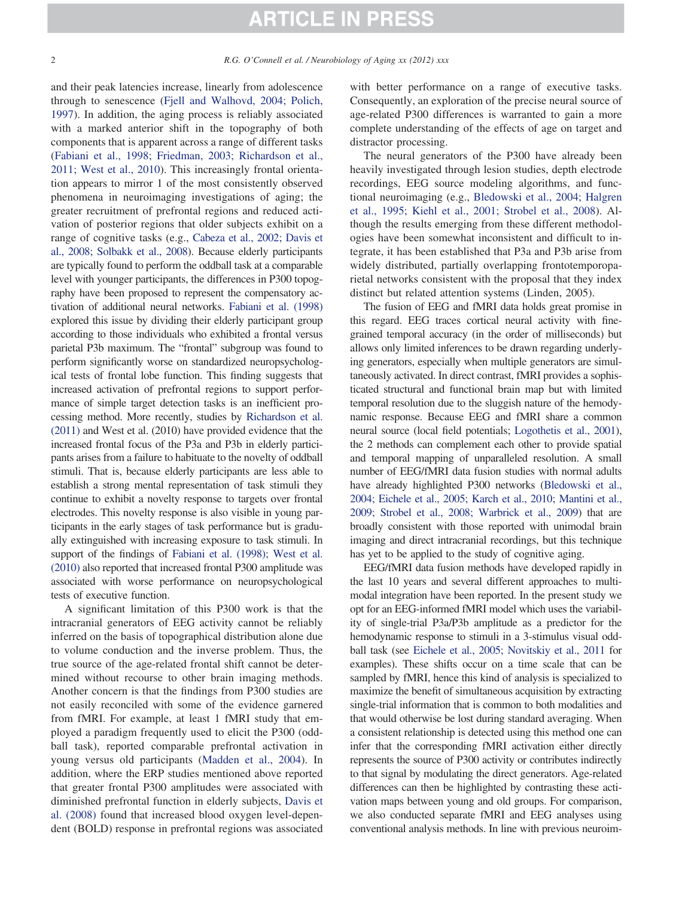and their peak latencies increase, linearly from adolescence through to senescence (Fjell and Walhovd, 2004; Polich, 1997). In addition, the aging process is reliably associated with a marked anterior shift in the topography of both components that is apparent across a range of different tasks (Fabiani et al., 1998; Friedman, 2003; Richardson et al., 2011; West et al., 2010). This increasingly frontal orientation appears to mirror 1 of the most consistently observed phenomena in neuroimaging investigations of aging; the greater recruitment of prefrontal regions and reduced activation of posterior regions that older subjects exhibit on a range of cognitive tasks (e.g., Cabeza et al., 2002; Davis et al., 2008; Solbakk et al., 2008). Because elderly participants are typically found to perform the oddball task at a comparable level with younger participants, the differences in P300 topography have been proposed to represent the compensatory activation of additional neural networks. Fabiani et al. (1998) explored this issue by dividing their elderly participant group according to those individuals who exhibited a frontal versus parietal P3b maximum. The "frontal" subgroup was found to perform significantly worse on standardized neuropsychological tests of frontal lobe function. This finding suggests that increased activation of prefrontal regions to support performance of simple target detection tasks is an inefficient processing method. More recently, studies by Richardson et al. (2011) and West et al. (2010) have provided evidence that the increased frontal focus of the P3a and P3b in elderly participants arises from a failure to habituate to the novelty of oddball stimuli. That is, because elderly participants are less able to establish a strong mental representation of task stimuli they continue to exhibit a novelty response to targets over frontal electrodes. This novelty response is also visible in young participants in the early stages of task performance but is gradually extinguished with increasing exposure to task stimuli. In support of the findings of Fabiani et al. (1998); West et al. (2010) also reported that increased frontal P300 amplitude was associated with worse performance on neuropsychological tests of executive function.

A significant limitation of this P300 work is that the intracranial generators of EEG activity cannot be reliably inferred on the basis of topographical distribution alone due to volume conduction and the inverse problem. Thus, the true source of the age-related frontal shift cannot be determined without recourse to other brain imaging methods. Another concern is that the findings from P300 studies are not easily reconciled with some of the evidence garnered from fMRI. For example, at least 1 fMRI study that employed a paradigm frequently used to elicit the P300 (oddball task), reported comparable prefrontal activation in young versus old participants (Madden et al., 2004). In addition, where the ERP studies mentioned above reported that greater frontal P300 amplitudes were associated with diminished prefrontal function in elderly subjects, Davis et al. (2008) found that increased blood oxygen level-dependent (BOLD) response in prefrontal regions was associated

with better performance on a range of executive tasks. Consequently, an exploration of the precise neural source of age-related P300 differences is warranted to gain a more complete understanding of the effects of age on target and distractor processing.

The neural generators of the P300 have already been heavily investigated through lesion studies, depth electrode recordings, EEG source modeling algorithms, and functional neuroimaging (e.g., Bledowski et al., 2004; Halgren et al., 1995; Kiehl et al., 2001; Strobel et al., 2008). Although the results emerging from these different methodologies have been somewhat inconsistent and difficult to integrate, it has been established that P3a and P3b arise from widely distributed, partially overlapping frontotemporoparietal networks consistent with the proposal that they index distinct but related attention systems (Linden, 2005).

The fusion of EEG and fMRI data holds great promise in this regard. EEG traces cortical neural activity with finegrained temporal accuracy (in the order of milliseconds) but allows only limited inferences to be drawn regarding underlying generators, especially when multiple generators are simultaneously activated. In direct contrast, fMRI provides a sophisticated structural and functional brain map but with limited temporal resolution due to the sluggish nature of the hemodynamic response. Because EEG and fMRI share a common neural source (local field potentials; Logothetis et al., 2001), the 2 methods can complement each other to provide spatial and temporal mapping of unparalleled resolution. A small number of EEG/fMRI data fusion studies with normal adults have already highlighted P300 networks (Bledowski et al., 2004; Eichele et al., 2005; Karch et al., 2010; Mantini et al., 2009; Strobel et al., 2008; Warbrick et al., 2009) that are broadly consistent with those reported with unimodal brain imaging and direct intracranial recordings, but this technique has yet to be applied to the study of cognitive aging.

EEG/fMRI data fusion methods have developed rapidly in the last 10 years and several different approaches to multimodal integration have been reported. In the present study we opt for an EEG-informed fMRI model which uses the variability of single-trial P3a/P3b amplitude as a predictor for the hemodynamic response to stimuli in a 3-stimulus visual oddball task (see Eichele et al., 2005; Novitskiy et al., 2011 for examples). These shifts occur on a time scale that can be sampled by fMRI, hence this kind of analysis is specialized to maximize the benefit of simultaneous acquisition by extracting single-trial information that is common to both modalities and that would otherwise be lost during standard averaging. When a consistent relationship is detected using this method one can infer that the corresponding fMRI activation either directly represents the source of P300 activity or contributes indirectly to that signal by modulating the direct generators. Age-related differences can then be highlighted by contrasting these activation maps between young and old groups. For comparison, we also conducted separate fMRI and EEG analyses using conventional analysis methods. In line with previous neuroim-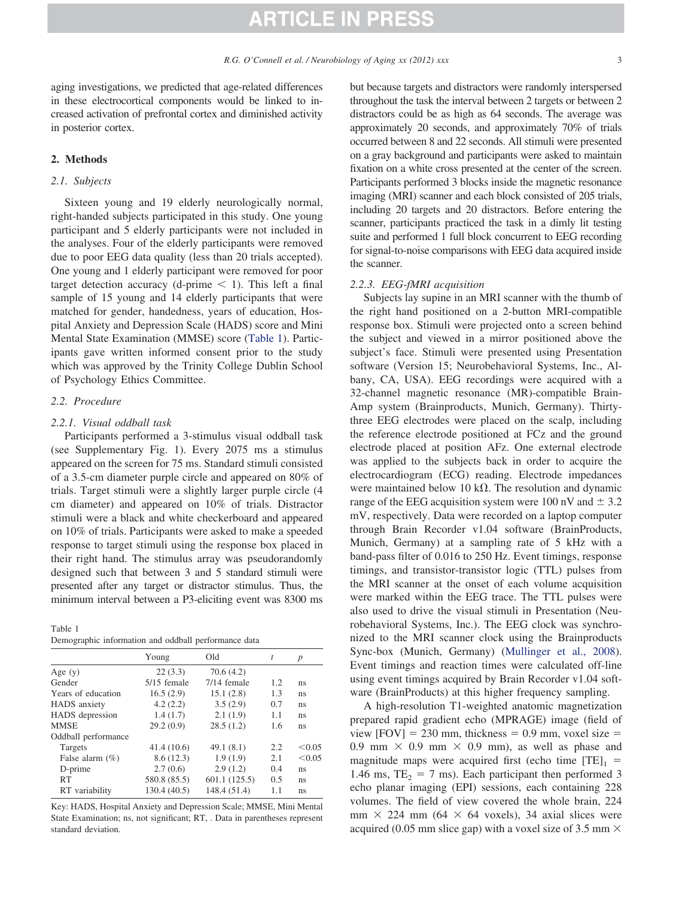aging investigations, we predicted that age-related differences in these electrocortical components would be linked to increased activation of prefrontal cortex and diminished activity in posterior cortex.

#### **2. Methods**

#### *2.1. Subjects*

Sixteen young and 19 elderly neurologically normal, right-handed subjects participated in this study. One young participant and 5 elderly participants were not included in the analyses. Four of the elderly participants were removed due to poor EEG data quality (less than 20 trials accepted). One young and 1 elderly participant were removed for poor target detection accuracy (d-prime  $\leq$  1). This left a final sample of 15 young and 14 elderly participants that were matched for gender, handedness, years of education, Hospital Anxiety and Depression Scale (HADS) score and Mini Mental State Examination (MMSE) score (Table 1). Participants gave written informed consent prior to the study which was approved by the Trinity College Dublin School of Psychology Ethics Committee.

#### *2.2. Procedure*

#### *2.2.1. Visual oddball task*

Participants performed a 3-stimulus visual oddball task (see Supplementary Fig. 1). Every 2075 ms a stimulus appeared on the screen for 75 ms. Standard stimuli consisted of a 3.5-cm diameter purple circle and appeared on 80% of trials. Target stimuli were a slightly larger purple circle (4 cm diameter) and appeared on 10% of trials. Distractor stimuli were a black and white checkerboard and appeared on 10% of trials. Participants were asked to make a speeded response to target stimuli using the response box placed in their right hand. The stimulus array was pseudorandomly designed such that between 3 and 5 standard stimuli were presented after any target or distractor stimulus. Thus, the minimum interval between a P3-eliciting event was 8300 ms

#### Table 1

| Demographic information and oddball performance data |  |  |  |  |
|------------------------------------------------------|--|--|--|--|
|------------------------------------------------------|--|--|--|--|

|                     | Young         | Old           | t   | $\boldsymbol{p}$ |
|---------------------|---------------|---------------|-----|------------------|
| Age $(y)$           | 22(3.3)       | 70.6(4.2)     |     |                  |
| Gender              | $5/15$ female | 7/14 female   | 1.2 | ns               |
| Years of education  | 16.5(2.9)     | 15.1(2.8)     | 1.3 | ns               |
| <b>HADS</b> anxiety | 4.2(2.2)      | 3.5(2.9)      | 0.7 | ns               |
| HADS depression     | 1.4(1.7)      | 2.1(1.9)      | 1.1 | ns               |
| <b>MMSE</b>         | 29.2(0.9)     | 28.5(1.2)     | 1.6 | ns               |
| Oddball performance |               |               |     |                  |
| Targets             | 41.4(10.6)    | 49.1(8.1)     | 2.2 | < 0.05           |
| False alarm $(\%)$  | 8.6(12.3)     | 1.9(1.9)      | 2.1 | < 0.05           |
| D-prime             | 2.7(0.6)      | 2.9(1.2)      | 0.4 | ns               |
| RT                  | 580.8 (85.5)  | 601.1 (125.5) | 0.5 | ns               |
| RT variability      | 130.4 (40.5)  | 148.4 (51.4)  | 1.1 | ns               |

Key: HADS, Hospital Anxiety and Depression Scale; MMSE, Mini Mental State Examination; ns, not significant; RT, . Data in parentheses represent standard deviation.

but because targets and distractors were randomly interspersed throughout the task the interval between 2 targets or between 2 distractors could be as high as 64 seconds. The average was approximately 20 seconds, and approximately 70% of trials occurred between 8 and 22 seconds. All stimuli were presented on a gray background and participants were asked to maintain fixation on a white cross presented at the center of the screen. Participants performed 3 blocks inside the magnetic resonance imaging (MRI) scanner and each block consisted of 205 trials, including 20 targets and 20 distractors. Before entering the scanner, participants practiced the task in a dimly lit testing suite and performed 1 full block concurrent to EEG recording for signal-to-noise comparisons with EEG data acquired inside the scanner.

#### *2.2.3. EEG-fMRI acquisition*

Subjects lay supine in an MRI scanner with the thumb of the right hand positioned on a 2-button MRI-compatible response box. Stimuli were projected onto a screen behind the subject and viewed in a mirror positioned above the subject's face. Stimuli were presented using Presentation software (Version 15; Neurobehavioral Systems, Inc., Albany, CA, USA). EEG recordings were acquired with a 32-channel magnetic resonance (MR)-compatible Brain-Amp system (Brainproducts, Munich, Germany). Thirtythree EEG electrodes were placed on the scalp, including the reference electrode positioned at FCz and the ground electrode placed at position AFz. One external electrode was applied to the subjects back in order to acquire the electrocardiogram (ECG) reading. Electrode impedances were maintained below 10 k $\Omega$ . The resolution and dynamic range of the EEG acquisition system were 100 nV and  $\pm$  3.2 mV, respectively. Data were recorded on a laptop computer through Brain Recorder v1.04 software (BrainProducts, Munich, Germany) at a sampling rate of 5 kHz with a band-pass filter of 0.016 to 250 Hz. Event timings, response timings, and transistor-transistor logic (TTL) pulses from the MRI scanner at the onset of each volume acquisition were marked within the EEG trace. The TTL pulses were also used to drive the visual stimuli in Presentation (Neurobehavioral Systems, Inc.). The EEG clock was synchronized to the MRI scanner clock using the Brainproducts Sync-box (Munich, Germany) (Mullinger et al., 2008). Event timings and reaction times were calculated off-line using event timings acquired by Brain Recorder v1.04 software (BrainProducts) at this higher frequency sampling.

A high-resolution T1-weighted anatomic magnetization prepared rapid gradient echo (MPRAGE) image (field of view  $[FOV] = 230$  mm, thickness = 0.9 mm, voxel size = 0.9 mm  $\times$  0.9 mm  $\times$  0.9 mm), as well as phase and magnitude maps were acquired first (echo time  $[TE]_1$  = 1.46 ms,  $TE<sub>2</sub> = 7$  ms). Each participant then performed 3 echo planar imaging (EPI) sessions, each containing 228 volumes. The field of view covered the whole brain, 224 mm  $\times$  224 mm (64  $\times$  64 voxels), 34 axial slices were acquired (0.05 mm slice gap) with a voxel size of 3.5 mm  $\times$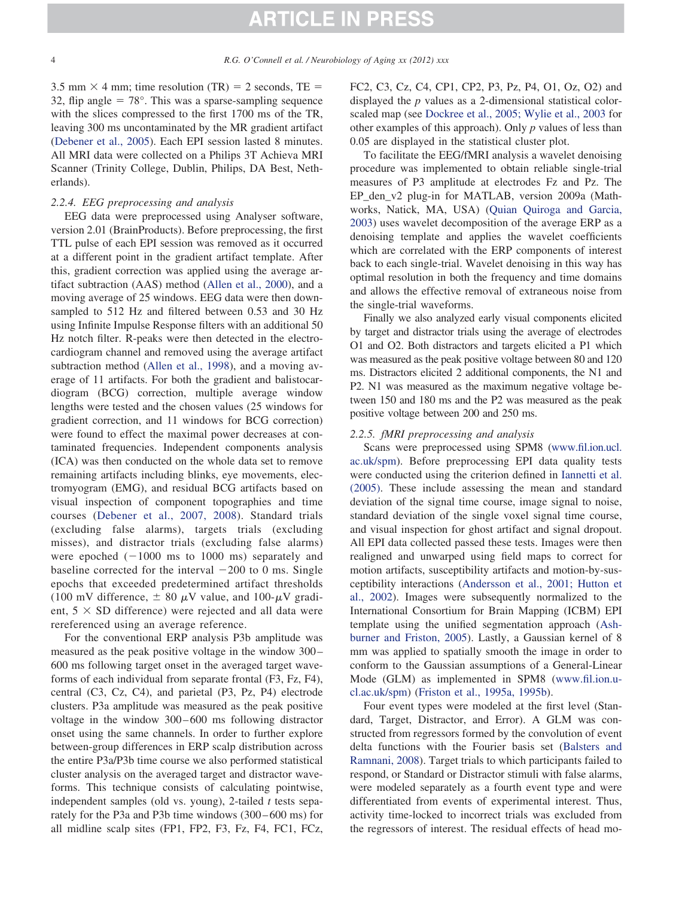3.5 mm  $\times$  4 mm; time resolution (TR) = 2 seconds, TE = 32, flip angle  $= 78^\circ$ . This was a sparse-sampling sequence with the slices compressed to the first 1700 ms of the TR, leaving 300 ms uncontaminated by the MR gradient artifact (Debener et al., 2005). Each EPI session lasted 8 minutes. All MRI data were collected on a Philips 3T Achieva MRI Scanner (Trinity College, Dublin, Philips, DA Best, Netherlands).

#### *2.2.4. EEG preprocessing and analysis*

EEG data were preprocessed using Analyser software, version 2.01 (BrainProducts). Before preprocessing, the first TTL pulse of each EPI session was removed as it occurred at a different point in the gradient artifact template. After this, gradient correction was applied using the average artifact subtraction (AAS) method (Allen et al., 2000), and a moving average of 25 windows. EEG data were then downsampled to 512 Hz and filtered between 0.53 and 30 Hz using Infinite Impulse Response filters with an additional 50 Hz notch filter. R-peaks were then detected in the electrocardiogram channel and removed using the average artifact subtraction method (Allen et al., 1998), and a moving average of 11 artifacts. For both the gradient and balistocardiogram (BCG) correction, multiple average window lengths were tested and the chosen values (25 windows for gradient correction, and 11 windows for BCG correction) were found to effect the maximal power decreases at contaminated frequencies. Independent components analysis (ICA) was then conducted on the whole data set to remove remaining artifacts including blinks, eye movements, electromyogram (EMG), and residual BCG artifacts based on visual inspection of component topographies and time courses (Debener et al., 2007, 2008). Standard trials (excluding false alarms), targets trials (excluding misses), and distractor trials (excluding false alarms) were epoched  $(-1000 \text{ ms to } 1000 \text{ ms})$  separately and baseline corrected for the interval  $-200$  to 0 ms. Single epochs that exceeded predetermined artifact thresholds (100 mV difference,  $\pm$  80  $\mu$ V value, and 100- $\mu$ V gradient,  $5 \times SD$  difference) were rejected and all data were rereferenced using an average reference.

For the conventional ERP analysis P3b amplitude was measured as the peak positive voltage in the window 300– 600 ms following target onset in the averaged target waveforms of each individual from separate frontal (F3, Fz, F4), central (C3, Cz, C4), and parietal (P3, Pz, P4) electrode clusters. P3a amplitude was measured as the peak positive voltage in the window 300–600 ms following distractor onset using the same channels. In order to further explore between-group differences in ERP scalp distribution across the entire P3a/P3b time course we also performed statistical cluster analysis on the averaged target and distractor waveforms. This technique consists of calculating pointwise, independent samples (old vs. young), 2-tailed *t* tests separately for the P3a and P3b time windows (300–600 ms) for all midline scalp sites (FP1, FP2, F3, Fz, F4, FC1, FCz,

FC2, C3, Cz, C4, CP1, CP2, P3, Pz, P4, O1, Oz, O2) and displayed the *p* values as a 2-dimensional statistical colorscaled map (see Dockree et al., 2005; Wylie et al., 2003 for other examples of this approach). Only *p* values of less than 0.05 are displayed in the statistical cluster plot.

To facilitate the EEG/fMRI analysis a wavelet denoising procedure was implemented to obtain reliable single-trial measures of P3 amplitude at electrodes Fz and Pz. The EP\_den\_v2 plug-in for MATLAB, version 2009a (Mathworks, Natick, MA, USA) (Quian Quiroga and Garcia, 2003) uses wavelet decomposition of the average ERP as a denoising template and applies the wavelet coefficients which are correlated with the ERP components of interest back to each single-trial. Wavelet denoising in this way has optimal resolution in both the frequency and time domains and allows the effective removal of extraneous noise from the single-trial waveforms.

Finally we also analyzed early visual components elicited by target and distractor trials using the average of electrodes O1 and O2. Both distractors and targets elicited a P1 which was measured as the peak positive voltage between 80 and 120 ms. Distractors elicited 2 additional components, the N1 and P2. N1 was measured as the maximum negative voltage between 150 and 180 ms and the P2 was measured as the peak positive voltage between 200 and 250 ms.

#### *2.2.5. fMRI preprocessing and analysis*

Scans were preprocessed using SPM8 [\(www.fil.ion.ucl.](http://www.fil.ion.ucl.ac.uk/spm) [ac.uk/spm\)](http://www.fil.ion.ucl.ac.uk/spm). Before preprocessing EPI data quality tests were conducted using the criterion defined in Iannetti et al. (2005). These include assessing the mean and standard deviation of the signal time course, image signal to noise, standard deviation of the single voxel signal time course, and visual inspection for ghost artifact and signal dropout. All EPI data collected passed these tests. Images were then realigned and unwarped using field maps to correct for motion artifacts, susceptibility artifacts and motion-by-susceptibility interactions (Andersson et al., 2001; Hutton et al., 2002). Images were subsequently normalized to the International Consortium for Brain Mapping (ICBM) EPI template using the unified segmentation approach (Ashburner and Friston, 2005). Lastly, a Gaussian kernel of 8 mm was applied to spatially smooth the image in order to conform to the Gaussian assumptions of a General-Linear Mode (GLM) as implemented in SPM8 [\(www.fil.ion.u](http://www.fil.ion.ucl.ac.uk/spm)[cl.ac.uk/spm\)](http://www.fil.ion.ucl.ac.uk/spm) (Friston et al., 1995a, 1995b).

Four event types were modeled at the first level (Standard, Target, Distractor, and Error). A GLM was constructed from regressors formed by the convolution of event delta functions with the Fourier basis set (Balsters and Ramnani, 2008). Target trials to which participants failed to respond, or Standard or Distractor stimuli with false alarms, were modeled separately as a fourth event type and were differentiated from events of experimental interest. Thus, activity time-locked to incorrect trials was excluded from the regressors of interest. The residual effects of head mo-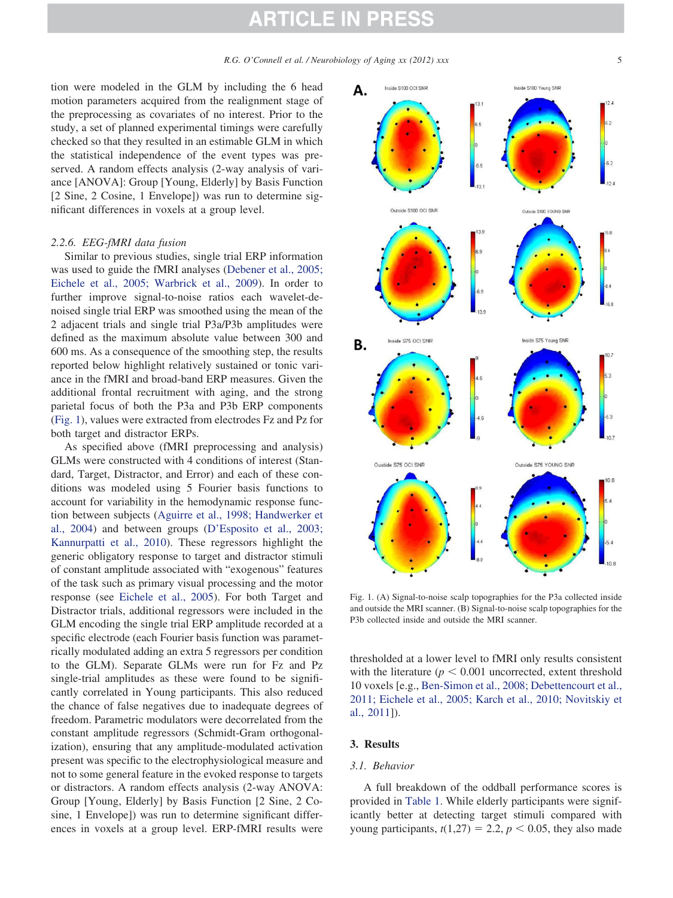tion were modeled in the GLM by including the 6 head motion parameters acquired from the realignment stage of the preprocessing as covariates of no interest. Prior to the study, a set of planned experimental timings were carefully checked so that they resulted in an estimable GLM in which the statistical independence of the event types was preserved. A random effects analysis (2-way analysis of variance [ANOVA]: Group [Young, Elderly] by Basis Function [2 Sine, 2 Cosine, 1 Envelope]) was run to determine significant differences in voxels at a group level.

#### *2.2.6. EEG-fMRI data fusion*

Similar to previous studies, single trial ERP information was used to guide the fMRI analyses (Debener et al., 2005; Eichele et al., 2005; Warbrick et al., 2009). In order to further improve signal-to-noise ratios each wavelet-denoised single trial ERP was smoothed using the mean of the 2 adjacent trials and single trial P3a/P3b amplitudes were defined as the maximum absolute value between 300 and 600 ms. As a consequence of the smoothing step, the results reported below highlight relatively sustained or tonic variance in the fMRI and broad-band ERP measures. Given the additional frontal recruitment with aging, and the strong parietal focus of both the P3a and P3b ERP components (Fig. 1), values were extracted from electrodes Fz and Pz for both target and distractor ERPs.

As specified above (fMRI preprocessing and analysis) GLMs were constructed with 4 conditions of interest (Standard, Target, Distractor, and Error) and each of these conditions was modeled using 5 Fourier basis functions to account for variability in the hemodynamic response function between subjects (Aguirre et al., 1998; Handwerker et al., 2004) and between groups (D'Esposito et al., 2003; Kannurpatti et al., 2010). These regressors highlight the generic obligatory response to target and distractor stimuli of constant amplitude associated with "exogenous" features of the task such as primary visual processing and the motor response (see Eichele et al., 2005). For both Target and Distractor trials, additional regressors were included in the GLM encoding the single trial ERP amplitude recorded at a specific electrode (each Fourier basis function was parametrically modulated adding an extra 5 regressors per condition to the GLM). Separate GLMs were run for Fz and Pz single-trial amplitudes as these were found to be significantly correlated in Young participants. This also reduced the chance of false negatives due to inadequate degrees of freedom. Parametric modulators were decorrelated from the constant amplitude regressors (Schmidt-Gram orthogonalization), ensuring that any amplitude-modulated activation present was specific to the electrophysiological measure and not to some general feature in the evoked response to targets or distractors. A random effects analysis (2-way ANOVA: Group [Young, Elderly] by Basis Function [2 Sine, 2 Cosine, 1 Envelope]) was run to determine significant differences in voxels at a group level. ERP-fMRI results were



Fig. 1. (A) Signal-to-noise scalp topographies for the P3a collected inside and outside the MRI scanner. (B) Signal-to-noise scalp topographies for the P3b collected inside and outside the MRI scanner.

thresholded at a lower level to fMRI only results consistent with the literature  $(p < 0.001$  uncorrected, extent threshold 10 voxels [e.g., Ben-Simon et al., 2008; Debettencourt et al., 2011; Eichele et al., 2005; Karch et al., 2010; Novitskiy et al., 2011]).

#### **3. Results**

#### *3.1. Behavior*

A full breakdown of the oddball performance scores is provided in Table 1. While elderly participants were significantly better at detecting target stimuli compared with young participants,  $t(1,27) = 2.2$ ,  $p < 0.05$ , they also made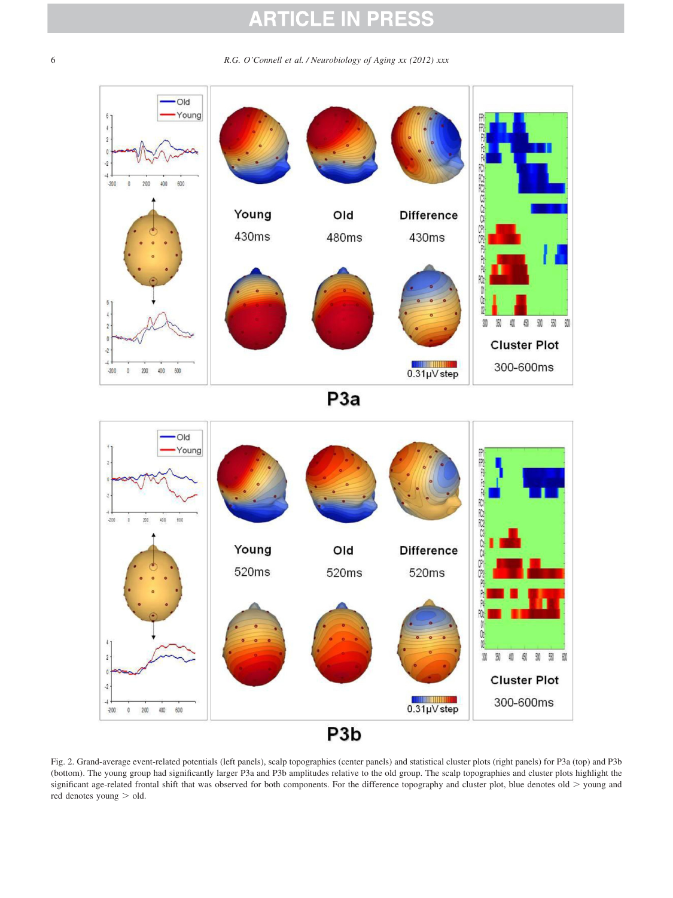6 *R.G. O'Connell et al. / Neurobiology of Aging xx (2012) xxx*





Fig. 2. Grand-average event-related potentials (left panels), scalp topographies (center panels) and statistical cluster plots (right panels) for P3a (top) and P3b (bottom). The young group had significantly larger P3a and P3b amplitudes relative to the old group. The scalp topographies and cluster plots highlight the significant age-related frontal shift that was observed for both components. For the difference topography and cluster plot, blue denotes old  $>$  young and red denotes young  $>$  old.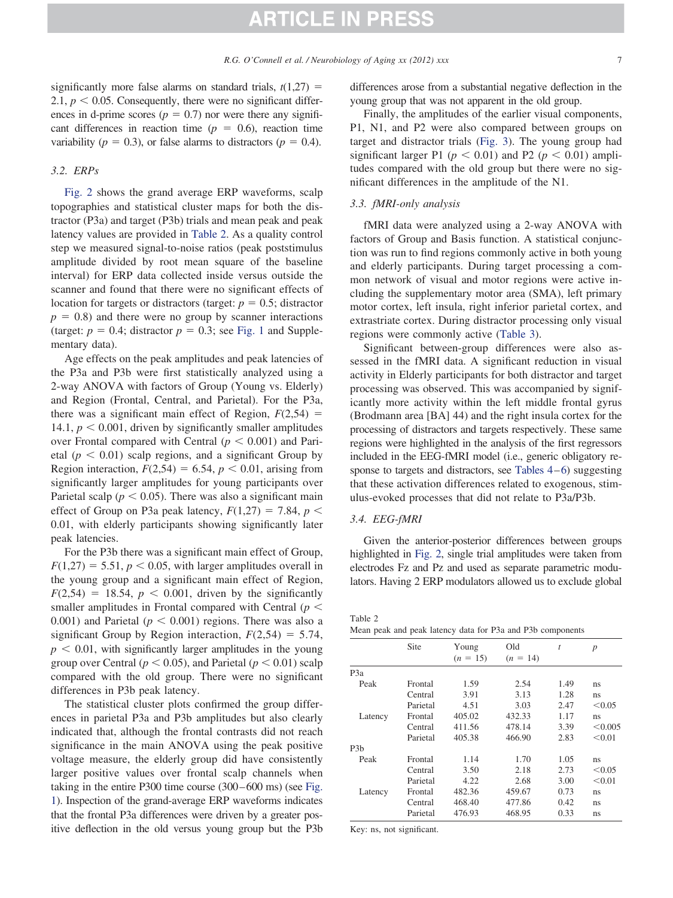significantly more false alarms on standard trials,  $t(1,27)$  = 2.1,  $p < 0.05$ . Consequently, there were no significant differences in d-prime scores ( $p = 0.7$ ) nor were there any significant differences in reaction time  $(p = 0.6)$ , reaction time variability ( $p = 0.3$ ), or false alarms to distractors ( $p = 0.4$ ).

#### *3.2. ERPs*

Fig. 2 shows the grand average ERP waveforms, scalp topographies and statistical cluster maps for both the distractor (P3a) and target (P3b) trials and mean peak and peak latency values are provided in Table 2. As a quality control step we measured signal-to-noise ratios (peak poststimulus amplitude divided by root mean square of the baseline interval) for ERP data collected inside versus outside the scanner and found that there were no significant effects of location for targets or distractors (target:  $p = 0.5$ ; distractor  $p = 0.8$ ) and there were no group by scanner interactions (target:  $p = 0.4$ ; distractor  $p = 0.3$ ; see Fig. 1 and Supplementary data).

Age effects on the peak amplitudes and peak latencies of the P3a and P3b were first statistically analyzed using a 2-way ANOVA with factors of Group (Young vs. Elderly) and Region (Frontal, Central, and Parietal). For the P3a, there was a significant main effect of Region,  $F(2,54)$  = 14.1,  $p < 0.001$ , driven by significantly smaller amplitudes over Frontal compared with Central  $(p < 0.001)$  and Parietal  $(p < 0.01)$  scalp regions, and a significant Group by Region interaction,  $F(2,54) = 6.54$ ,  $p < 0.01$ , arising from significantly larger amplitudes for young participants over Parietal scalp ( $p < 0.05$ ). There was also a significant main effect of Group on P3a peak latency,  $F(1,27) = 7.84$ ,  $p <$ 0.01, with elderly participants showing significantly later peak latencies.

For the P3b there was a significant main effect of Group,  $F(1,27) = 5.51, p < 0.05$ , with larger amplitudes overall in the young group and a significant main effect of Region,  $F(2,54) = 18.54$ ,  $p < 0.001$ , driven by the significantly smaller amplitudes in Frontal compared with Central  $(p <$ 0.001) and Parietal  $(p < 0.001)$  regions. There was also a significant Group by Region interaction,  $F(2,54) = 5.74$ ,  $p < 0.01$ , with significantly larger amplitudes in the young group over Central ( $p < 0.05$ ), and Parietal ( $p < 0.01$ ) scalp compared with the old group. There were no significant differences in P3b peak latency.

The statistical cluster plots confirmed the group differences in parietal P3a and P3b amplitudes but also clearly indicated that, although the frontal contrasts did not reach significance in the main ANOVA using the peak positive voltage measure, the elderly group did have consistently larger positive values over frontal scalp channels when taking in the entire P300 time course (300–600 ms) (see Fig. 1). Inspection of the grand-average ERP waveforms indicates that the frontal P3a differences were driven by a greater positive deflection in the old versus young group but the P3b differences arose from a substantial negative deflection in the young group that was not apparent in the old group.

Finally, the amplitudes of the earlier visual components, P1, N1, and P2 were also compared between groups on target and distractor trials (Fig. 3). The young group had significant larger P1 ( $p < 0.01$ ) and P2 ( $p < 0.01$ ) amplitudes compared with the old group but there were no significant differences in the amplitude of the N1.

#### *3.3. fMRI-only analysis*

fMRI data were analyzed using a 2-way ANOVA with factors of Group and Basis function. A statistical conjunction was run to find regions commonly active in both young and elderly participants. During target processing a common network of visual and motor regions were active including the supplementary motor area (SMA), left primary motor cortex, left insula, right inferior parietal cortex, and extrastriate cortex. During distractor processing only visual regions were commonly active (Table 3).

Significant between-group differences were also assessed in the fMRI data. A significant reduction in visual activity in Elderly participants for both distractor and target processing was observed. This was accompanied by significantly more activity within the left middle frontal gyrus (Brodmann area [BA] 44) and the right insula cortex for the processing of distractors and targets respectively. These same regions were highlighted in the analysis of the first regressors included in the EEG-fMRI model (i.e., generic obligatory response to targets and distractors, see Tables 4–6) suggesting that these activation differences related to exogenous, stimulus-evoked processes that did not relate to P3a/P3b.

#### *3.4. EEG-fMRI*

Given the anterior-posterior differences between groups highlighted in Fig. 2, single trial amplitudes were taken from electrodes Fz and Pz and used as separate parametric modulators. Having 2 ERP modulators allowed us to exclude global

Table 2

|  |  |  |  | Mean peak and peak latency data for P3a and P3b components |  |  |  |  |  |  |  |  |
|--|--|--|--|------------------------------------------------------------|--|--|--|--|--|--|--|--|
|--|--|--|--|------------------------------------------------------------|--|--|--|--|--|--|--|--|

|                  | Site     | Young      | Old        | $\bar{t}$ | $\boldsymbol{p}$ |
|------------------|----------|------------|------------|-----------|------------------|
|                  |          | $(n = 15)$ | $(n = 14)$ |           |                  |
| P <sub>3</sub> a |          |            |            |           |                  |
| Peak             | Frontal  | 1.59       | 2.54       | 1.49      | ns               |
|                  | Central  | 3.91       | 3.13       | 1.28      | ns               |
|                  | Parietal | 4.51       | 3.03       | 2.47      | < 0.05           |
| Latency          | Frontal  | 405.02     | 432.33     | 1.17      | ns               |
|                  | Central  | 411.56     | 478.14     | 3.39      | < 0.005          |
|                  | Parietal | 405.38     | 466.90     | 2.83      | < 0.01           |
| P <sub>3</sub> b |          |            |            |           |                  |
| Peak             | Frontal  | 1.14       | 1.70       | 1.05      | ns               |
|                  | Central  | 3.50       | 2.18       | 2.73      | < 0.05           |
|                  | Parietal | 4.22       | 2.68       | 3.00      | < 0.01           |
| Latency          | Frontal  | 482.36     | 459.67     | 0.73      | ns               |
|                  | Central  | 468.40     | 477.86     | 0.42      | ns               |
|                  | Parietal | 476.93     | 468.95     | 0.33      | ns               |
|                  |          |            |            |           |                  |

Key: ns, not significant.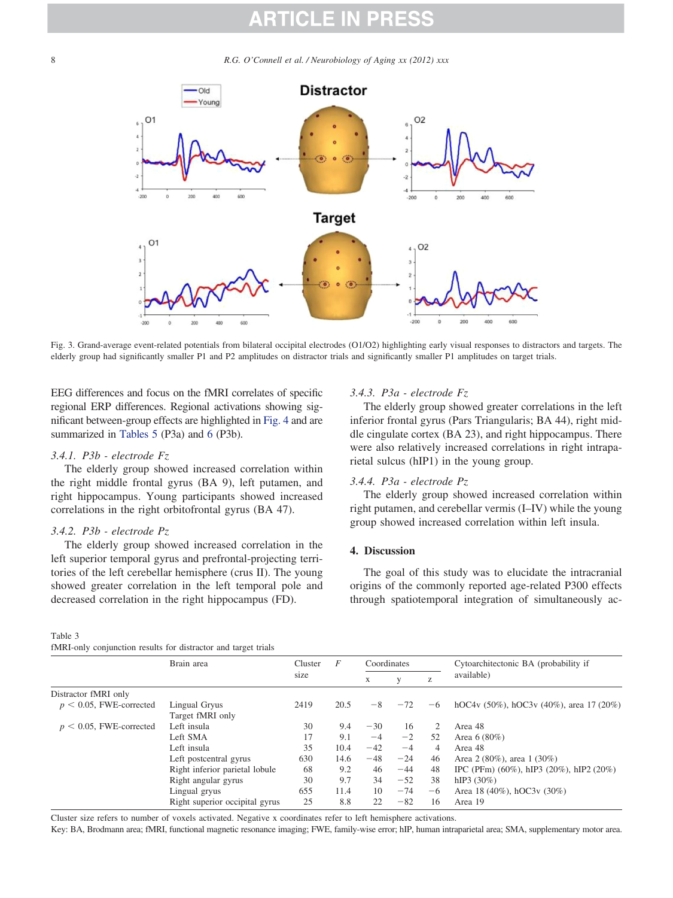8 *R.G. O'Connell et al. / Neurobiology of Aging xx (2012) xxx*



Fig. 3. Grand-average event-related potentials from bilateral occipital electrodes (O1/O2) highlighting early visual responses to distractors and targets. The elderly group had significantly smaller P1 and P2 amplitudes on distractor trials and significantly smaller P1 amplitudes on target trials.

EEG differences and focus on the fMRI correlates of specific regional ERP differences. Regional activations showing significant between-group effects are highlighted in Fig. 4 and are summarized in Tables 5 (P3a) and 6 (P3b).

#### *3.4.1. P3b - electrode Fz*

The elderly group showed increased correlation within the right middle frontal gyrus (BA 9), left putamen, and right hippocampus. Young participants showed increased correlations in the right orbitofrontal gyrus (BA 47).

#### *3.4.2. P3b - electrode Pz*

The elderly group showed increased correlation in the left superior temporal gyrus and prefrontal-projecting territories of the left cerebellar hemisphere (crus II). The young showed greater correlation in the left temporal pole and decreased correlation in the right hippocampus (FD).

#### Table 3

fMRI-only conjunction results for distractor and target trials

### *3.4.3. P3a - electrode Fz*

The elderly group showed greater correlations in the left inferior frontal gyrus (Pars Triangularis; BA 44), right middle cingulate cortex (BA 23), and right hippocampus. There were also relatively increased correlations in right intraparietal sulcus (hIP1) in the young group.

#### *3.4.4. P3a - electrode Pz*

The elderly group showed increased correlation within right putamen, and cerebellar vermis (I–IV) while the young group showed increased correlation within left insula.

#### **4. Discussion**

The goal of this study was to elucidate the intracranial origins of the commonly reported age-related P300 effects through spatiotemporal integration of simultaneously ac-

|                            | Brain area                     | Cluster | F    | Coordinates |       |      | Cytoarchitectonic BA (probability if               |
|----------------------------|--------------------------------|---------|------|-------------|-------|------|----------------------------------------------------|
|                            |                                | size    |      | X           |       | Z    | available)                                         |
| Distractor fMRI only       |                                |         |      |             |       |      |                                                    |
| $p < 0.05$ , FWE-corrected | Lingual Gryus                  | 2419    | 20.5 | $-8$        | $-72$ | $-6$ | hOC4v $(50\%)$ , hOC3v $(40\%)$ , area 17 $(20\%)$ |
|                            | Target fMRI only               |         |      |             |       |      |                                                    |
| $p < 0.05$ , FWE-corrected | Left insula                    | 30      | 9.4  | $-30$       | 16    | 2    | Area 48                                            |
|                            | Left SMA                       | 17      | 9.1  | $-4$        | $-2$  | 52   | Area $6(80\%)$                                     |
|                            | Left insula                    | 35      | 10.4 | $-42$       | $-4$  | 4    | Area 48                                            |
|                            | Left postcentral gyrus         | 630     | 14.6 | $-48$       | $-24$ | 46   | Area 2 (80%), area 1 (30%)                         |
|                            | Right inferior parietal lobule | 68      | 9.2  | 46          | $-44$ | 48   | IPC (PFm) $(60\%)$ , hIP3 $(20\%)$ , hIP2 $(20\%)$ |
|                            | Right angular gyrus            | 30      | 9.7  | 34          | $-52$ | 38   | hIP3(30%)                                          |
|                            | Lingual gryus                  | 655     | 11.4 | 10          | $-74$ | $-6$ | Area 18 (40%), hOC3v (30%)                         |
|                            | Right superior occipital gyrus | 25      | 8.8  | 22          | $-82$ | 16   | Area 19                                            |

Cluster size refers to number of voxels activated. Negative x coordinates refer to left hemisphere activations.

Key: BA, Brodmann area; fMRI, functional magnetic resonance imaging; FWE, family-wise error; hIP, human intraparietal area; SMA, supplementary motor area.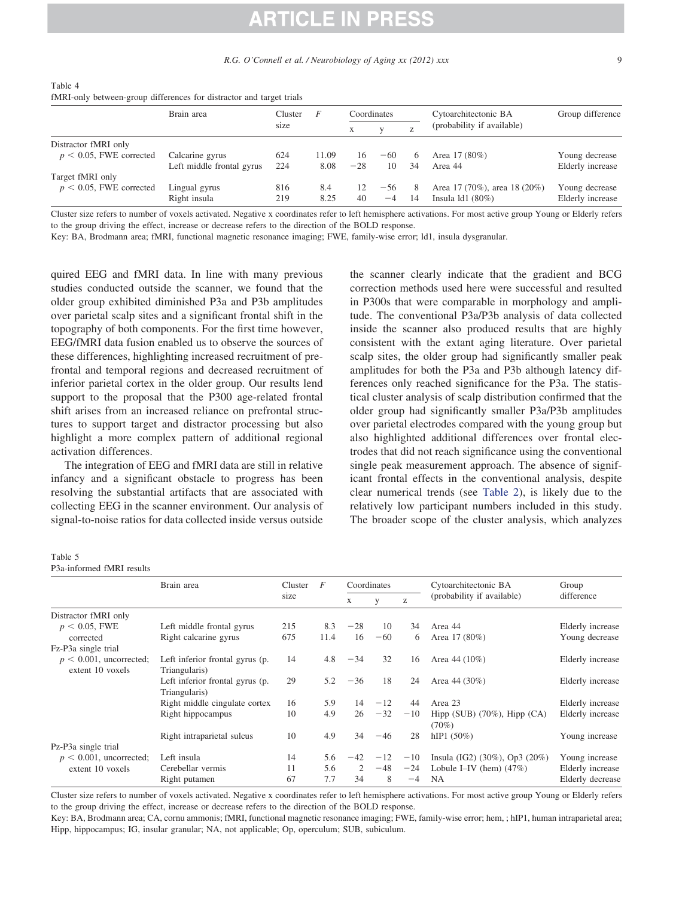| Table 4 |                                                                      |  |  |  |
|---------|----------------------------------------------------------------------|--|--|--|
|         | fMRI-only between-group differences for distractor and target trials |  |  |  |

|                            | Brain area                | Cluster | F     | Coordinates |       |    | Cytoarchitectonic BA         | Group difference |  |
|----------------------------|---------------------------|---------|-------|-------------|-------|----|------------------------------|------------------|--|
|                            |                           | size    |       |             |       |    | (probability if available)   |                  |  |
| Distractor fMRI only       |                           |         |       |             |       |    |                              |                  |  |
| $p < 0.05$ , FWE corrected | Calcarine gyrus           | 624     | 11.09 | 16          | $-60$ | 6  | Area 17 (80%)                | Young decrease   |  |
|                            | Left middle frontal gyrus | 224     | 8.08  | $-28$       | 10    | 34 | Area 44                      | Elderly increase |  |
| Target fMRI only           |                           |         |       |             |       |    |                              |                  |  |
| $p < 0.05$ , FWE corrected | Lingual gyrus             | 816     | 8.4   | 12          | $-56$ | 8  | Area 17 (70%), area 18 (20%) | Young decrease   |  |
|                            | Right insula              | 219     | 8.25  | 40          | $-4$  | 14 | Insula $1d1(80%)$            | Elderly increase |  |

Cluster size refers to number of voxels activated. Negative x coordinates refer to left hemisphere activations. For most active group Young or Elderly refers to the group driving the effect, increase or decrease refers to the direction of the BOLD response.

Key: BA, Brodmann area; fMRI, functional magnetic resonance imaging; FWE, family-wise error; ld1, insula dysgranular.

quired EEG and fMRI data. In line with many previous studies conducted outside the scanner, we found that the older group exhibited diminished P3a and P3b amplitudes over parietal scalp sites and a significant frontal shift in the topography of both components. For the first time however, EEG/fMRI data fusion enabled us to observe the sources of these differences, highlighting increased recruitment of prefrontal and temporal regions and decreased recruitment of inferior parietal cortex in the older group. Our results lend support to the proposal that the P300 age-related frontal shift arises from an increased reliance on prefrontal structures to support target and distractor processing but also highlight a more complex pattern of additional regional activation differences.

The integration of EEG and fMRI data are still in relative infancy and a significant obstacle to progress has been resolving the substantial artifacts that are associated with collecting EEG in the scanner environment. Our analysis of signal-to-noise ratios for data collected inside versus outside

the scanner clearly indicate that the gradient and BCG correction methods used here were successful and resulted in P300s that were comparable in morphology and amplitude. The conventional P3a/P3b analysis of data collected inside the scanner also produced results that are highly consistent with the extant aging literature. Over parietal scalp sites, the older group had significantly smaller peak amplitudes for both the P3a and P3b although latency differences only reached significance for the P3a. The statistical cluster analysis of scalp distribution confirmed that the older group had significantly smaller P3a/P3b amplitudes over parietal electrodes compared with the young group but also highlighted additional differences over frontal electrodes that did not reach significance using the conventional single peak measurement approach. The absence of significant frontal effects in the conventional analysis, despite clear numerical trends (see Table 2), is likely due to the relatively low participant numbers included in this study. The broader scope of the cluster analysis, which analyzes

### Table 5

P3a-informed fMRI results

|                            | Brain area                      | Cluster | F    |       | Coordinates |          | Cytoarchitectonic BA              | Group            |  |
|----------------------------|---------------------------------|---------|------|-------|-------------|----------|-----------------------------------|------------------|--|
|                            |                                 | size    |      | X     | V           | $\rm{Z}$ | (probability if available)        | difference       |  |
| Distractor fMRI only       |                                 |         |      |       |             |          |                                   |                  |  |
| $p < 0.05$ , FWE           | Left middle frontal gyrus       | 215     | 8.3  | $-28$ | 10          | 34       | Area 44                           | Elderly increase |  |
| corrected                  | Right calcarine gyrus           | 675     | 11.4 | 16    | $-60$       | 6        | Area 17 (80%)                     | Young decrease   |  |
| Fz-P3a single trial        |                                 |         |      |       |             |          |                                   |                  |  |
| $p < 0.001$ , uncorrected; | Left inferior frontal gyrus (p. | 14      | 4.8  | $-34$ | 32          | 16       | Area 44 $(10\%)$                  | Elderly increase |  |
| extent 10 voxels           | Triangularis)                   |         |      |       |             |          |                                   |                  |  |
|                            | Left inferior frontal gyrus (p. | 29      | 5.2  | $-36$ | 18          | 24       | Area 44 $(30\%)$                  | Elderly increase |  |
|                            | Triangularis)                   |         |      |       |             |          |                                   |                  |  |
|                            | Right middle cingulate cortex   | 16      | 5.9  | 14    | $-12$       | 44       | Area 23                           | Elderly increase |  |
|                            | Right hippocampus               | 10      | 4.9  | 26    | $-32$       | $-10$    | Hipp (SUB) $(70\%)$ , Hipp $(CA)$ | Elderly increase |  |
|                            |                                 |         |      |       |             |          | $(70\%)$                          |                  |  |
|                            | Right intraparietal sulcus      | 10      | 4.9  | 34    | $-46$       | 28       | hIP1(50%)                         | Young increase   |  |
| Pz-P3a single trial        |                                 |         |      |       |             |          |                                   |                  |  |
| $p < 0.001$ , uncorrected; | Left insula                     | 14      | 5.6  | $-42$ | $-12$       | $-10$    | Insula (IG2) (30%), Op3 (20%)     | Young increase   |  |
| extent 10 voxels           | Cerebellar vermis               | 11      | 5.6  | 2     | $-48$       | $-24$    | Lobule I-IV (hem) $(47%)$         | Elderly increase |  |
|                            | Right putamen                   | 67      | 7.7  | 34    | 8           | $-4$     | <b>NA</b>                         | Elderly decrease |  |

Cluster size refers to number of voxels activated. Negative x coordinates refer to left hemisphere activations. For most active group Young or Elderly refers to the group driving the effect, increase or decrease refers to the direction of the BOLD response.

Key: BA, Brodmann area; CA, cornu ammonis; fMRI, functional magnetic resonance imaging; FWE, family-wise error; hem, ; hIP1, human intraparietal area; Hipp, hippocampus; IG, insular granular; NA, not applicable; Op, operculum; SUB, subiculum.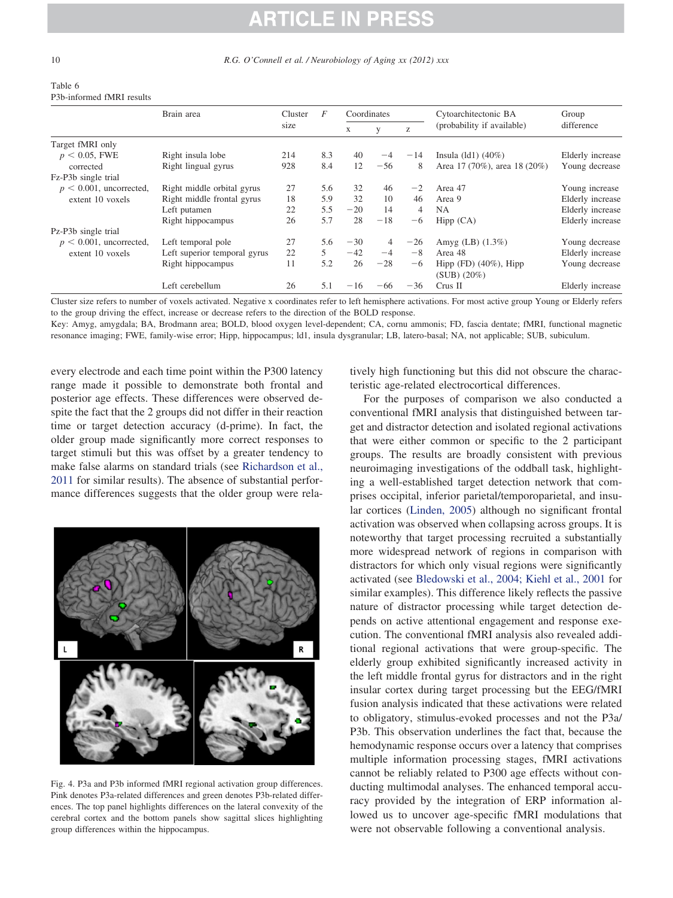| Table 6                   |  |
|---------------------------|--|
| P3b-informed fMRI results |  |

|                            | Brain area                   | Cluster | F             | Coordinates |                |       | Cytoarchitectonic BA         | Group            |
|----------------------------|------------------------------|---------|---------------|-------------|----------------|-------|------------------------------|------------------|
|                            |                              | size    |               | X           |                | Z     | (probability if available)   | difference       |
| Target fMRI only           |                              |         |               |             |                |       |                              |                  |
| $p < 0.05$ , FWE           | Right insula lobe            | 214     | 8.3           | 40          | $-4$           | $-14$ | Insula $dl1)$ (40%)          | Elderly increase |
| corrected                  | Right lingual gyrus          | 928     | 8.4           | 12          | $-56$          | 8     | Area 17 (70%), area 18 (20%) | Young decrease   |
| Fz-P3b single trial        |                              |         |               |             |                |       |                              |                  |
| $p < 0.001$ , uncorrected, | Right middle orbital gyrus   | 27      | 5.6           | 32          | 46             | $-2$  | Area 47                      | Young increase   |
| extent 10 yoxels           | Right middle frontal gyrus   | 18      | 5.9           | 32          | 10             | 46    | Area 9                       | Elderly increase |
|                            | Left putamen                 | 22      | 5.5           | $-20$       | 14             | 4     | <b>NA</b>                    | Elderly increase |
|                            | Right hippocampus            | 26      | 5.7           | 28          | $-18$          | -6    | Hipp (CA)                    | Elderly increase |
| Pz-P3b single trial        |                              |         |               |             |                |       |                              |                  |
| $p < 0.001$ , uncorrected, | Left temporal pole           | 27      | 5.6           | $-30$       | $\overline{4}$ | $-26$ | Amyg $(LB)$ $(1.3\%)$        | Young decrease   |
| extent 10 voxels           | Left superior temporal gyrus | 22      | $\mathcal{F}$ | $-42$       | $-4$           | $-8$  | Area 48                      | Elderly increase |
|                            | Right hippocampus            | 11      | 5.2           | 26          | $-28$          | -6    | Hipp $(FD)$ $(40\%)$ , Hipp  | Young decrease   |
|                            |                              |         |               |             |                |       | $(SUB) (20\%)$               |                  |
|                            | Left cerebellum              | 26      | 5.1           | $-16$       | $-66$          | $-36$ | Crus II                      | Elderly increase |

Cluster size refers to number of voxels activated. Negative x coordinates refer to left hemisphere activations. For most active group Young or Elderly refers to the group driving the effect, increase or decrease refers to the direction of the BOLD response.

Key: Amyg, amygdala; BA, Brodmann area; BOLD, blood oxygen level-dependent; CA, cornu ammonis; FD, fascia dentate; fMRI, functional magnetic resonance imaging; FWE, family-wise error; Hipp, hippocampus; ld1, insula dysgranular; LB, latero-basal; NA, not applicable; SUB, subiculum.

every electrode and each time point within the P300 latency range made it possible to demonstrate both frontal and posterior age effects. These differences were observed despite the fact that the 2 groups did not differ in their reaction time or target detection accuracy (d-prime). In fact, the older group made significantly more correct responses to target stimuli but this was offset by a greater tendency to make false alarms on standard trials (see Richardson et al., 2011 for similar results). The absence of substantial performance differences suggests that the older group were rela-



Fig. 4. P3a and P3b informed fMRI regional activation group differences. Pink denotes P3a-related differences and green denotes P3b-related differences. The top panel highlights differences on the lateral convexity of the cerebral cortex and the bottom panels show sagittal slices highlighting group differences within the hippocampus.

tively high functioning but this did not obscure the characteristic age-related electrocortical differences.

For the purposes of comparison we also conducted a conventional fMRI analysis that distinguished between target and distractor detection and isolated regional activations that were either common or specific to the 2 participant groups. The results are broadly consistent with previous neuroimaging investigations of the oddball task, highlighting a well-established target detection network that comprises occipital, inferior parietal/temporoparietal, and insular cortices (Linden, 2005) although no significant frontal activation was observed when collapsing across groups. It is noteworthy that target processing recruited a substantially more widespread network of regions in comparison with distractors for which only visual regions were significantly activated (see Bledowski et al., 2004; Kiehl et al., 2001 for similar examples). This difference likely reflects the passive nature of distractor processing while target detection depends on active attentional engagement and response execution. The conventional fMRI analysis also revealed additional regional activations that were group-specific. The elderly group exhibited significantly increased activity in the left middle frontal gyrus for distractors and in the right insular cortex during target processing but the EEG/fMRI fusion analysis indicated that these activations were related to obligatory, stimulus-evoked processes and not the P3a/ P3b. This observation underlines the fact that, because the hemodynamic response occurs over a latency that comprises multiple information processing stages, fMRI activations cannot be reliably related to P300 age effects without conducting multimodal analyses. The enhanced temporal accuracy provided by the integration of ERP information allowed us to uncover age-specific fMRI modulations that were not observable following a conventional analysis.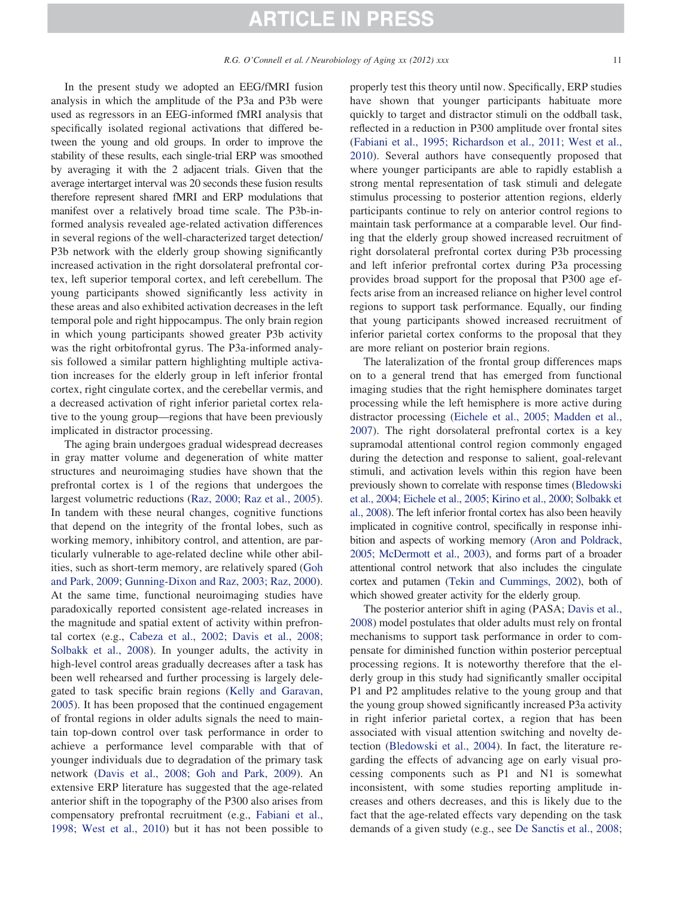In the present study we adopted an EEG/fMRI fusion analysis in which the amplitude of the P3a and P3b were used as regressors in an EEG-informed fMRI analysis that specifically isolated regional activations that differed between the young and old groups. In order to improve the stability of these results, each single-trial ERP was smoothed by averaging it with the 2 adjacent trials. Given that the average intertarget interval was 20 seconds these fusion results therefore represent shared fMRI and ERP modulations that manifest over a relatively broad time scale. The P3b-informed analysis revealed age-related activation differences in several regions of the well-characterized target detection/ P3b network with the elderly group showing significantly increased activation in the right dorsolateral prefrontal cortex, left superior temporal cortex, and left cerebellum. The young participants showed significantly less activity in these areas and also exhibited activation decreases in the left temporal pole and right hippocampus. The only brain region in which young participants showed greater P3b activity was the right orbitofrontal gyrus. The P3a-informed analysis followed a similar pattern highlighting multiple activation increases for the elderly group in left inferior frontal cortex, right cingulate cortex, and the cerebellar vermis, and a decreased activation of right inferior parietal cortex relative to the young group—regions that have been previously implicated in distractor processing.

The aging brain undergoes gradual widespread decreases in gray matter volume and degeneration of white matter structures and neuroimaging studies have shown that the prefrontal cortex is 1 of the regions that undergoes the largest volumetric reductions (Raz, 2000; Raz et al., 2005). In tandem with these neural changes, cognitive functions that depend on the integrity of the frontal lobes, such as working memory, inhibitory control, and attention, are particularly vulnerable to age-related decline while other abilities, such as short-term memory, are relatively spared (Goh and Park, 2009; Gunning-Dixon and Raz, 2003; Raz, 2000). At the same time, functional neuroimaging studies have paradoxically reported consistent age-related increases in the magnitude and spatial extent of activity within prefrontal cortex (e.g., Cabeza et al., 2002; Davis et al., 2008; Solbakk et al., 2008). In younger adults, the activity in high-level control areas gradually decreases after a task has been well rehearsed and further processing is largely delegated to task specific brain regions (Kelly and Garavan, 2005). It has been proposed that the continued engagement of frontal regions in older adults signals the need to maintain top-down control over task performance in order to achieve a performance level comparable with that of younger individuals due to degradation of the primary task network (Davis et al., 2008; Goh and Park, 2009). An extensive ERP literature has suggested that the age-related anterior shift in the topography of the P300 also arises from compensatory prefrontal recruitment (e.g., Fabiani et al., 1998; West et al., 2010) but it has not been possible to

properly test this theory until now. Specifically, ERP studies have shown that younger participants habituate more quickly to target and distractor stimuli on the oddball task, reflected in a reduction in P300 amplitude over frontal sites (Fabiani et al., 1995; Richardson et al., 2011; West et al., 2010). Several authors have consequently proposed that where younger participants are able to rapidly establish a strong mental representation of task stimuli and delegate stimulus processing to posterior attention regions, elderly participants continue to rely on anterior control regions to maintain task performance at a comparable level. Our finding that the elderly group showed increased recruitment of right dorsolateral prefrontal cortex during P3b processing and left inferior prefrontal cortex during P3a processing provides broad support for the proposal that P300 age effects arise from an increased reliance on higher level control regions to support task performance. Equally, our finding that young participants showed increased recruitment of inferior parietal cortex conforms to the proposal that they are more reliant on posterior brain regions.

The lateralization of the frontal group differences maps on to a general trend that has emerged from functional imaging studies that the right hemisphere dominates target processing while the left hemisphere is more active during distractor processing (Eichele et al., 2005; Madden et al., 2007). The right dorsolateral prefrontal cortex is a key supramodal attentional control region commonly engaged during the detection and response to salient, goal-relevant stimuli, and activation levels within this region have been previously shown to correlate with response times (Bledowski et al., 2004; Eichele et al., 2005; Kirino et al., 2000; Solbakk et al., 2008). The left inferior frontal cortex has also been heavily implicated in cognitive control, specifically in response inhibition and aspects of working memory (Aron and Poldrack, 2005; McDermott et al., 2003), and forms part of a broader attentional control network that also includes the cingulate cortex and putamen (Tekin and Cummings, 2002), both of which showed greater activity for the elderly group.

The posterior anterior shift in aging (PASA; Davis et al., 2008) model postulates that older adults must rely on frontal mechanisms to support task performance in order to compensate for diminished function within posterior perceptual processing regions. It is noteworthy therefore that the elderly group in this study had significantly smaller occipital P1 and P2 amplitudes relative to the young group and that the young group showed significantly increased P3a activity in right inferior parietal cortex, a region that has been associated with visual attention switching and novelty detection (Bledowski et al., 2004). In fact, the literature regarding the effects of advancing age on early visual processing components such as P1 and N1 is somewhat inconsistent, with some studies reporting amplitude increases and others decreases, and this is likely due to the fact that the age-related effects vary depending on the task demands of a given study (e.g., see De Sanctis et al., 2008;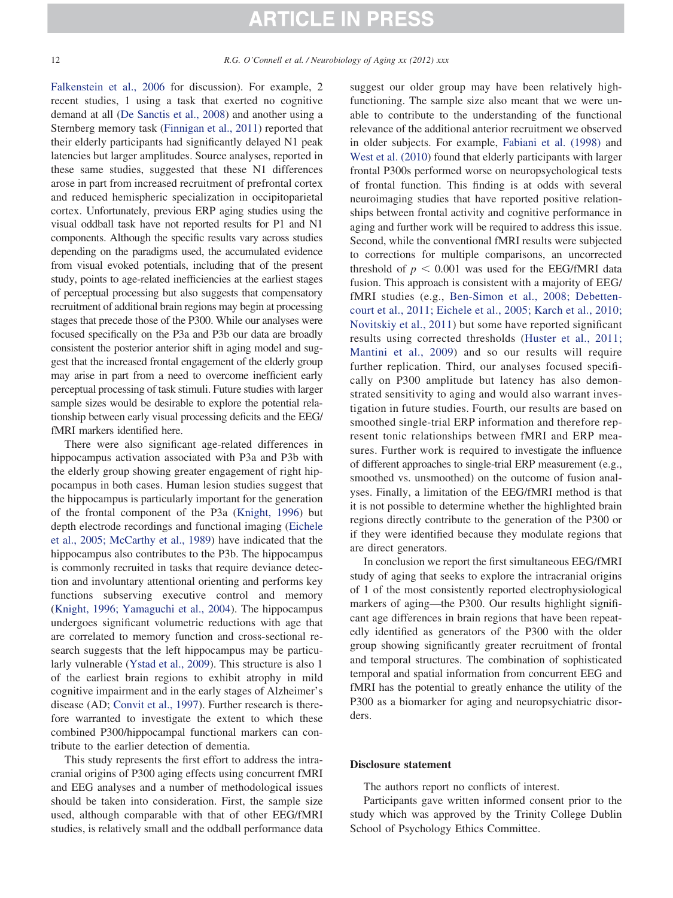Falkenstein et al., 2006 for discussion). For example, 2 recent studies, 1 using a task that exerted no cognitive demand at all (De Sanctis et al., 2008) and another using a Sternberg memory task (Finnigan et al., 2011) reported that their elderly participants had significantly delayed N1 peak latencies but larger amplitudes. Source analyses, reported in these same studies, suggested that these N1 differences arose in part from increased recruitment of prefrontal cortex and reduced hemispheric specialization in occipitoparietal cortex. Unfortunately, previous ERP aging studies using the visual oddball task have not reported results for P1 and N1 components. Although the specific results vary across studies depending on the paradigms used, the accumulated evidence from visual evoked potentials, including that of the present study, points to age-related inefficiencies at the earliest stages of perceptual processing but also suggests that compensatory recruitment of additional brain regions may begin at processing stages that precede those of the P300. While our analyses were focused specifically on the P3a and P3b our data are broadly consistent the posterior anterior shift in aging model and suggest that the increased frontal engagement of the elderly group may arise in part from a need to overcome inefficient early perceptual processing of task stimuli. Future studies with larger sample sizes would be desirable to explore the potential relationship between early visual processing deficits and the EEG/ fMRI markers identified here.

There were also significant age-related differences in hippocampus activation associated with P3a and P3b with the elderly group showing greater engagement of right hippocampus in both cases. Human lesion studies suggest that the hippocampus is particularly important for the generation of the frontal component of the P3a (Knight, 1996) but depth electrode recordings and functional imaging (Eichele et al., 2005; McCarthy et al., 1989) have indicated that the hippocampus also contributes to the P3b. The hippocampus is commonly recruited in tasks that require deviance detection and involuntary attentional orienting and performs key functions subserving executive control and memory (Knight, 1996; Yamaguchi et al., 2004). The hippocampus undergoes significant volumetric reductions with age that are correlated to memory function and cross-sectional research suggests that the left hippocampus may be particularly vulnerable (Ystad et al., 2009). This structure is also 1 of the earliest brain regions to exhibit atrophy in mild cognitive impairment and in the early stages of Alzheimer's disease (AD; Convit et al., 1997). Further research is therefore warranted to investigate the extent to which these combined P300/hippocampal functional markers can contribute to the earlier detection of dementia.

This study represents the first effort to address the intracranial origins of P300 aging effects using concurrent fMRI and EEG analyses and a number of methodological issues should be taken into consideration. First, the sample size used, although comparable with that of other EEG/fMRI studies, is relatively small and the oddball performance data

suggest our older group may have been relatively highfunctioning. The sample size also meant that we were unable to contribute to the understanding of the functional relevance of the additional anterior recruitment we observed in older subjects. For example, Fabiani et al. (1998) and West et al. (2010) found that elderly participants with larger frontal P300s performed worse on neuropsychological tests of frontal function. This finding is at odds with several neuroimaging studies that have reported positive relationships between frontal activity and cognitive performance in aging and further work will be required to address this issue. Second, while the conventional fMRI results were subjected to corrections for multiple comparisons, an uncorrected threshold of  $p < 0.001$  was used for the EEG/fMRI data fusion. This approach is consistent with a majority of EEG/ fMRI studies (e.g., Ben-Simon et al., 2008; Debettencourt et al., 2011; Eichele et al., 2005; Karch et al., 2010; Novitskiy et al., 2011) but some have reported significant results using corrected thresholds (Huster et al., 2011; Mantini et al., 2009) and so our results will require further replication. Third, our analyses focused specifically on P300 amplitude but latency has also demonstrated sensitivity to aging and would also warrant investigation in future studies. Fourth, our results are based on smoothed single-trial ERP information and therefore represent tonic relationships between fMRI and ERP measures. Further work is required to investigate the influence of different approaches to single-trial ERP measurement (e.g., smoothed vs. unsmoothed) on the outcome of fusion analyses. Finally, a limitation of the EEG/fMRI method is that it is not possible to determine whether the highlighted brain regions directly contribute to the generation of the P300 or if they were identified because they modulate regions that are direct generators.

In conclusion we report the first simultaneous EEG/fMRI study of aging that seeks to explore the intracranial origins of 1 of the most consistently reported electrophysiological markers of aging—the P300. Our results highlight significant age differences in brain regions that have been repeatedly identified as generators of the P300 with the older group showing significantly greater recruitment of frontal and temporal structures. The combination of sophisticated temporal and spatial information from concurrent EEG and fMRI has the potential to greatly enhance the utility of the P300 as a biomarker for aging and neuropsychiatric disorders.

#### **Disclosure statement**

The authors report no conflicts of interest.

Participants gave written informed consent prior to the study which was approved by the Trinity College Dublin School of Psychology Ethics Committee.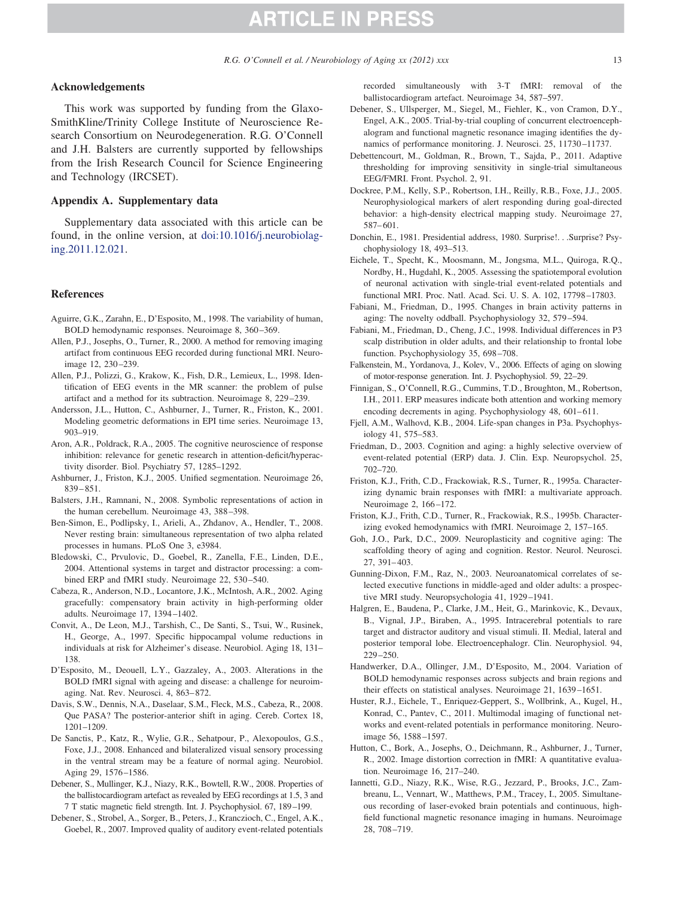#### **Acknowledgements**

This work was supported by funding from the Glaxo-SmithKline/Trinity College Institute of Neuroscience Research Consortium on Neurodegeneration. R.G. O'Connell and J.H. Balsters are currently supported by fellowships from the Irish Research Council for Science Engineering and Technology (IRCSET).

#### **Appendix A. Supplementary data**

Supplementary data associated with this article can be found, in the online version, at [doi:10.1016/j.neurobiolag](http://dx.doi.org/10.1016/j.neurobiolaging.2011.12.021)[ing.2011.12.021.](http://dx.doi.org/10.1016/j.neurobiolaging.2011.12.021)

#### **References**

- Aguirre, G.K., Zarahn, E., D'Esposito, M., 1998. The variability of human, BOLD hemodynamic responses. Neuroimage 8, 360–369.
- Allen, P.J., Josephs, O., Turner, R., 2000. A method for removing imaging artifact from continuous EEG recorded during functional MRI. Neuroimage 12, 230–239.
- Allen, P.J., Polizzi, G., Krakow, K., Fish, D.R., Lemieux, L., 1998. Identification of EEG events in the MR scanner: the problem of pulse artifact and a method for its subtraction. Neuroimage 8, 229–239.
- Andersson, J.L., Hutton, C., Ashburner, J., Turner, R., Friston, K., 2001. Modeling geometric deformations in EPI time series. Neuroimage 13, 903–919.
- Aron, A.R., Poldrack, R.A., 2005. The cognitive neuroscience of response inhibition: relevance for genetic research in attention-deficit/hyperactivity disorder. Biol. Psychiatry 57, 1285–1292.
- Ashburner, J., Friston, K.J., 2005. Unified segmentation. Neuroimage 26, 839–851.
- Balsters, J.H., Ramnani, N., 2008. Symbolic representations of action in the human cerebellum. Neuroimage 43, 388–398.
- Ben-Simon, E., Podlipsky, I., Arieli, A., Zhdanov, A., Hendler, T., 2008. Never resting brain: simultaneous representation of two alpha related processes in humans. PLoS One 3, e3984.
- Bledowski, C., Prvulovic, D., Goebel, R., Zanella, F.E., Linden, D.E., 2004. Attentional systems in target and distractor processing: a combined ERP and fMRI study. Neuroimage 22, 530–540.
- Cabeza, R., Anderson, N.D., Locantore, J.K., McIntosh, A.R., 2002. Aging gracefully: compensatory brain activity in high-performing older adults. Neuroimage 17, 1394–1402.
- Convit, A., De Leon, M.J., Tarshish, C., De Santi, S., Tsui, W., Rusinek, H., George, A., 1997. Specific hippocampal volume reductions in individuals at risk for Alzheimer's disease. Neurobiol. Aging 18, 131– 138.
- D'Esposito, M., Deouell, L.Y., Gazzaley, A., 2003. Alterations in the BOLD fMRI signal with ageing and disease: a challenge for neuroimaging. Nat. Rev. Neurosci. 4, 863–872.
- Davis, S.W., Dennis, N.A., Daselaar, S.M., Fleck, M.S., Cabeza, R., 2008. Que PASA? The posterior-anterior shift in aging. Cereb. Cortex 18, 1201–1209.
- De Sanctis, P., Katz, R., Wylie, G.R., Sehatpour, P., Alexopoulos, G.S., Foxe, J.J., 2008. Enhanced and bilateralized visual sensory processing in the ventral stream may be a feature of normal aging. Neurobiol. Aging 29, 1576–1586.
- Debener, S., Mullinger, K.J., Niazy, R.K., Bowtell, R.W., 2008. Properties of the ballistocardiogram artefact as revealed by EEG recordings at 1.5, 3 and 7 T static magnetic field strength. Int. J. Psychophysiol. 67, 189–199.
- Debener, S., Strobel, A., Sorger, B., Peters, J., Kranczioch, C., Engel, A.K., Goebel, R., 2007. Improved quality of auditory event-related potentials

recorded simultaneously with 3-T fMRI: removal of the ballistocardiogram artefact. Neuroimage 34, 587–597.

- Debener, S., Ullsperger, M., Siegel, M., Fiehler, K., von Cramon, D.Y., Engel, A.K., 2005. Trial-by-trial coupling of concurrent electroencephalogram and functional magnetic resonance imaging identifies the dynamics of performance monitoring. J. Neurosci. 25, 11730–11737.
- Debettencourt, M., Goldman, R., Brown, T., Sajda, P., 2011. Adaptive thresholding for improving sensitivity in single-trial simultaneous EEG/FMRI. Front. Psychol. 2, 91.
- Dockree, P.M., Kelly, S.P., Robertson, I.H., Reilly, R.B., Foxe, J.J., 2005. Neurophysiological markers of alert responding during goal-directed behavior: a high-density electrical mapping study. Neuroimage 27, 587–601.
- Donchin, E., 1981. Presidential address, 1980. Surprise!. . .Surprise? Psychophysiology 18, 493–513.
- Eichele, T., Specht, K., Moosmann, M., Jongsma, M.L., Quiroga, R.Q., Nordby, H., Hugdahl, K., 2005. Assessing the spatiotemporal evolution of neuronal activation with single-trial event-related potentials and functional MRI. Proc. Natl. Acad. Sci. U. S. A. 102, 17798–17803.
- Fabiani, M., Friedman, D., 1995. Changes in brain activity patterns in aging: The novelty oddball. Psychophysiology 32, 579–594.
- Fabiani, M., Friedman, D., Cheng, J.C., 1998. Individual differences in P3 scalp distribution in older adults, and their relationship to frontal lobe function. Psychophysiology 35, 698–708.
- Falkenstein, M., Yordanova, J., Kolev, V., 2006. Effects of aging on slowing of motor-response generation. Int. J. Psychophysiol. 59, 22–29.
- Finnigan, S., O'Connell, R.G., Cummins, T.D., Broughton, M., Robertson, I.H., 2011. ERP measures indicate both attention and working memory encoding decrements in aging. Psychophysiology 48, 601–611.
- Fjell, A.M., Walhovd, K.B., 2004. Life-span changes in P3a. Psychophysiology 41, 575–583.
- Friedman, D., 2003. Cognition and aging: a highly selective overview of event-related potential (ERP) data. J. Clin. Exp. Neuropsychol. 25, 702–720.
- Friston, K.J., Frith, C.D., Frackowiak, R.S., Turner, R., 1995a. Characterizing dynamic brain responses with fMRI: a multivariate approach. Neuroimage 2, 166–172.
- Friston, K.J., Frith, C.D., Turner, R., Frackowiak, R.S., 1995b. Characterizing evoked hemodynamics with fMRI. Neuroimage 2, 157–165.
- Goh, J.O., Park, D.C., 2009. Neuroplasticity and cognitive aging: The scaffolding theory of aging and cognition. Restor. Neurol. Neurosci. 27, 391–403.
- Gunning-Dixon, F.M., Raz, N., 2003. Neuroanatomical correlates of selected executive functions in middle-aged and older adults: a prospective MRI study. Neuropsychologia 41, 1929–1941.
- Halgren, E., Baudena, P., Clarke, J.M., Heit, G., Marinkovic, K., Devaux, B., Vignal, J.P., Biraben, A., 1995. Intracerebral potentials to rare target and distractor auditory and visual stimuli. II. Medial, lateral and posterior temporal lobe. Electroencephalogr. Clin. Neurophysiol. 94, 229–250.
- Handwerker, D.A., Ollinger, J.M., D'Esposito, M., 2004. Variation of BOLD hemodynamic responses across subjects and brain regions and their effects on statistical analyses. Neuroimage 21, 1639–1651.
- Huster, R.J., Eichele, T., Enriquez-Geppert, S., Wollbrink, A., Kugel, H., Konrad, C., Pantev, C., 2011. Multimodal imaging of functional networks and event-related potentials in performance monitoring. Neuroimage 56, 1588–1597.
- Hutton, C., Bork, A., Josephs, O., Deichmann, R., Ashburner, J., Turner, R., 2002. Image distortion correction in fMRI: A quantitative evaluation. Neuroimage 16, 217–240.
- Iannetti, G.D., Niazy, R.K., Wise, R.G., Jezzard, P., Brooks, J.C., Zambreanu, L., Vennart, W., Matthews, P.M., Tracey, I., 2005. Simultaneous recording of laser-evoked brain potentials and continuous, highfield functional magnetic resonance imaging in humans. Neuroimage 28, 708–719.